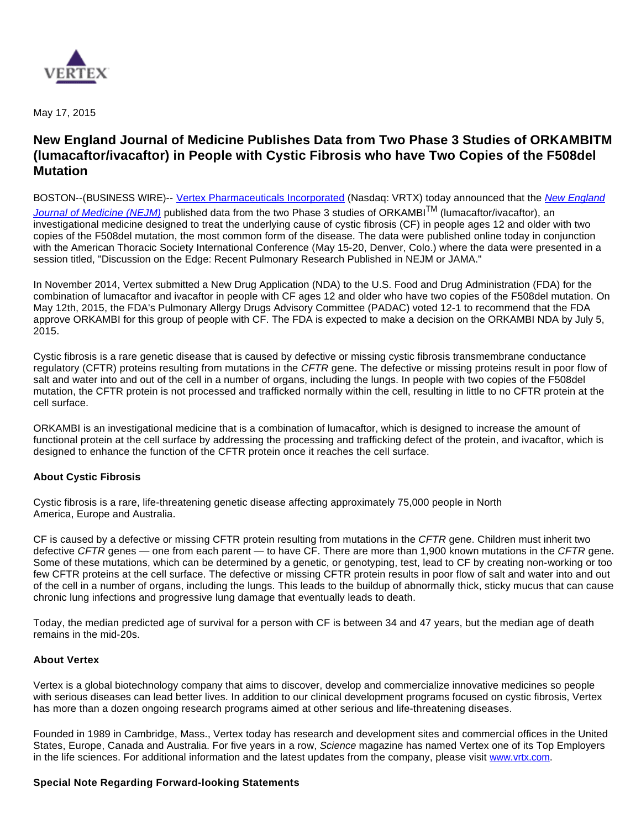

May 17, 2015

## **New England Journal of Medicine Publishes Data from Two Phase 3 Studies of ORKAMBITM (lumacaftor/ivacaftor) in People with Cystic Fibrosis who have Two Copies of the F508del Mutation**

BOSTON--(BUSINESS WIRE)-- [Vertex Pharmaceuticals Incorporated](http://cts.businesswire.com/ct/CT?id=smartlink&url=http%3A%2F%2Fwww.vrtx.com&esheet=51104388&newsitemid=20150517005053&lan=en-US&anchor=Vertex+Pharmaceuticals+Incorporated&index=1&md5=33153721ffcf1cb5cba5c3931a9ef01b) (Nasdaq: VRTX) today announced that the New England

[Journal of Medicine \(NEJM\)](http://cts.businesswire.com/ct/CT?id=smartlink&url=http%3A%2F%2Fwww.nejm.org%2Fdoi%2Ffull%2F10.1056%2FNEJMoa1409547&esheet=51104388&newsitemid=20150517005053&lan=en-US&anchor=New+England+Journal+of+Medicine+%28NEJM%29&index=2&md5=58e6aa744333d5c5b2d41a1e17b89816) published data from the two Phase 3 studies of ORKAMBI<sup>TM</sup> (lumacaftor/ivacaftor), an investigational medicine designed to treat the underlying cause of cystic fibrosis (CF) in people ages 12 and older with two copies of the F508del mutation, the most common form of the disease. The data were published online today in conjunction with the American Thoracic Society International Conference (May 15-20, Denver, Colo.) where the data were presented in a session titled, "Discussion on the Edge: Recent Pulmonary Research Published in NEJM or JAMA."

In November 2014, Vertex submitted a New Drug Application (NDA) to the U.S. Food and Drug Administration (FDA) for the combination of lumacaftor and ivacaftor in people with CF ages 12 and older who have two copies of the F508del mutation. On May 12th, 2015, the FDA's Pulmonary Allergy Drugs Advisory Committee (PADAC) voted 12-1 to recommend that the FDA approve ORKAMBI for this group of people with CF. The FDA is expected to make a decision on the ORKAMBI NDA by July 5, 2015.

Cystic fibrosis is a rare genetic disease that is caused by defective or missing cystic fibrosis transmembrane conductance regulatory (CFTR) proteins resulting from mutations in the CFTR gene. The defective or missing proteins result in poor flow of salt and water into and out of the cell in a number of organs, including the lungs. In people with two copies of the F508del mutation, the CFTR protein is not processed and trafficked normally within the cell, resulting in little to no CFTR protein at the cell surface.

ORKAMBI is an investigational medicine that is a combination of lumacaftor, which is designed to increase the amount of functional protein at the cell surface by addressing the processing and trafficking defect of the protein, and ivacaftor, which is designed to enhance the function of the CFTR protein once it reaches the cell surface.

## **About Cystic Fibrosis**

Cystic fibrosis is a rare, life-threatening genetic disease affecting approximately 75,000 people in North America, Europe and Australia.

CF is caused by a defective or missing CFTR protein resulting from mutations in the CFTR gene. Children must inherit two defective CFTR genes — one from each parent — to have CF. There are more than 1,900 known mutations in the CFTR gene. Some of these mutations, which can be determined by a genetic, or genotyping, test, lead to CF by creating non-working or too few CFTR proteins at the cell surface. The defective or missing CFTR protein results in poor flow of salt and water into and out of the cell in a number of organs, including the lungs. This leads to the buildup of abnormally thick, sticky mucus that can cause chronic lung infections and progressive lung damage that eventually leads to death.

Today, the median predicted age of survival for a person with CF is between 34 and 47 years, but the median age of death remains in the mid-20s.

## **About Vertex**

Vertex is a global biotechnology company that aims to discover, develop and commercialize innovative medicines so people with serious diseases can lead better lives. In addition to our clinical development programs focused on cystic fibrosis, Vertex has more than a dozen ongoing research programs aimed at other serious and life-threatening diseases.

Founded in 1989 in Cambridge, Mass., Vertex today has research and development sites and commercial offices in the United States, Europe, Canada and Australia. For five years in a row, Science magazine has named Vertex one of its Top Employers in the life sciences. For additional information and the latest updates from the company, please visit [www.vrtx.com](http://cts.businesswire.com/ct/CT?id=smartlink&url=http%3A%2F%2Fwww.vrtx.com&esheet=51104388&newsitemid=20150517005053&lan=en-US&anchor=www.vrtx.com&index=3&md5=d1e0b6091d84e024aa535bb2ece58d7d).

## **Special Note Regarding Forward-looking Statements**